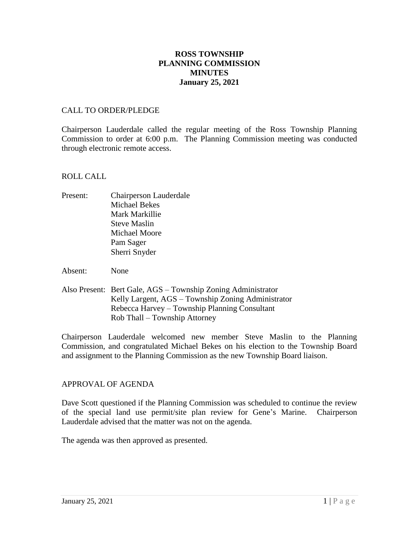# **ROSS TOWNSHIP PLANNING COMMISSION MINUTES January 25, 2021**

### CALL TO ORDER/PLEDGE

Chairperson Lauderdale called the regular meeting of the Ross Township Planning Commission to order at 6:00 p.m. The Planning Commission meeting was conducted through electronic remote access.

#### ROLL CALL

- Present: Chairperson Lauderdale Michael Bekes Mark Markillie Steve Maslin Michael Moore Pam Sager Sherri Snyder
- Absent: None
- Also Present: Bert Gale, AGS Township Zoning Administrator Kelly Largent, AGS – Township Zoning Administrator Rebecca Harvey – Township Planning Consultant Rob Thall – Township Attorney

Chairperson Lauderdale welcomed new member Steve Maslin to the Planning Commission, and congratulated Michael Bekes on his election to the Township Board and assignment to the Planning Commission as the new Township Board liaison.

### APPROVAL OF AGENDA

Dave Scott questioned if the Planning Commission was scheduled to continue the review of the special land use permit/site plan review for Gene's Marine. Chairperson Lauderdale advised that the matter was not on the agenda.

The agenda was then approved as presented.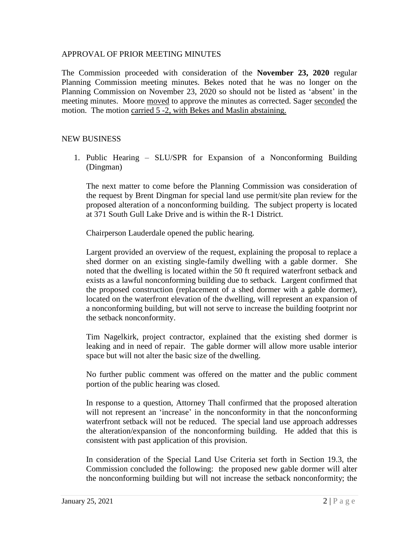### APPROVAL OF PRIOR MEETING MINUTES

The Commission proceeded with consideration of the **November 23, 2020** regular Planning Commission meeting minutes. Bekes noted that he was no longer on the Planning Commission on November 23, 2020 so should not be listed as 'absent' in the meeting minutes. Moore moved to approve the minutes as corrected. Sager seconded the motion. The motion carried 5 -2, with Bekes and Maslin abstaining.

## NEW BUSINESS

1. Public Hearing – SLU/SPR for Expansion of a Nonconforming Building (Dingman)

The next matter to come before the Planning Commission was consideration of the request by Brent Dingman for special land use permit/site plan review for the proposed alteration of a nonconforming building. The subject property is located at 371 South Gull Lake Drive and is within the R-1 District.

Chairperson Lauderdale opened the public hearing.

Largent provided an overview of the request, explaining the proposal to replace a shed dormer on an existing single-family dwelling with a gable dormer. She noted that the dwelling is located within the 50 ft required waterfront setback and exists as a lawful nonconforming building due to setback. Largent confirmed that the proposed construction (replacement of a shed dormer with a gable dormer), located on the waterfront elevation of the dwelling, will represent an expansion of a nonconforming building, but will not serve to increase the building footprint nor the setback nonconformity.

Tim Nagelkirk, project contractor, explained that the existing shed dormer is leaking and in need of repair. The gable dormer will allow more usable interior space but will not alter the basic size of the dwelling.

No further public comment was offered on the matter and the public comment portion of the public hearing was closed.

In response to a question, Attorney Thall confirmed that the proposed alteration will not represent an 'increase' in the nonconformity in that the nonconforming waterfront setback will not be reduced. The special land use approach addresses the alteration/expansion of the nonconforming building. He added that this is consistent with past application of this provision.

In consideration of the Special Land Use Criteria set forth in Section 19.3, the Commission concluded the following: the proposed new gable dormer will alter the nonconforming building but will not increase the setback nonconformity; the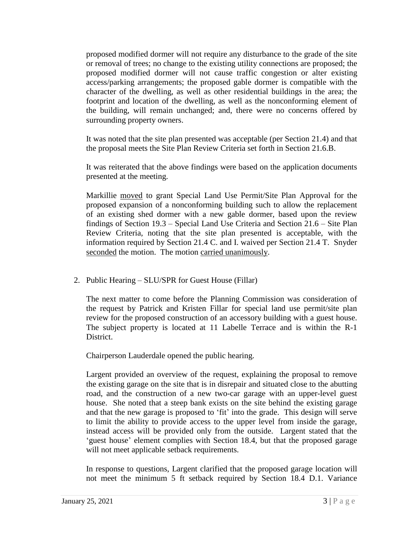proposed modified dormer will not require any disturbance to the grade of the site or removal of trees; no change to the existing utility connections are proposed; the proposed modified dormer will not cause traffic congestion or alter existing access/parking arrangements; the proposed gable dormer is compatible with the character of the dwelling, as well as other residential buildings in the area; the footprint and location of the dwelling, as well as the nonconforming element of the building, will remain unchanged; and, there were no concerns offered by surrounding property owners.

It was noted that the site plan presented was acceptable (per Section 21.4) and that the proposal meets the Site Plan Review Criteria set forth in Section 21.6.B.

It was reiterated that the above findings were based on the application documents presented at the meeting.

Markillie moved to grant Special Land Use Permit/Site Plan Approval for the proposed expansion of a nonconforming building such to allow the replacement of an existing shed dormer with a new gable dormer, based upon the review findings of Section 19.3 – Special Land Use Criteria and Section 21.6 – Site Plan Review Criteria, noting that the site plan presented is acceptable, with the information required by Section 21.4 C. and I. waived per Section 21.4 T. Snyder seconded the motion. The motion carried unanimously.

2. Public Hearing – SLU/SPR for Guest House (Fillar)

The next matter to come before the Planning Commission was consideration of the request by Patrick and Kristen Fillar for special land use permit/site plan review for the proposed construction of an accessory building with a guest house. The subject property is located at 11 Labelle Terrace and is within the R-1 District.

Chairperson Lauderdale opened the public hearing.

Largent provided an overview of the request, explaining the proposal to remove the existing garage on the site that is in disrepair and situated close to the abutting road, and the construction of a new two-car garage with an upper-level guest house. She noted that a steep bank exists on the site behind the existing garage and that the new garage is proposed to 'fit' into the grade. This design will serve to limit the ability to provide access to the upper level from inside the garage, instead access will be provided only from the outside. Largent stated that the 'guest house' element complies with Section 18.4, but that the proposed garage will not meet applicable setback requirements.

In response to questions, Largent clarified that the proposed garage location will not meet the minimum 5 ft setback required by Section 18.4 D.1. Variance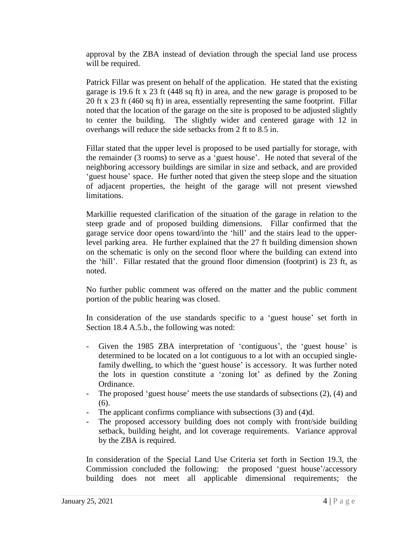approval by the ZBA instead of deviation through the special land use process will be required.

Patrick Fillar was present on behalf of the application. He stated that the existing garage is 19.6 ft x 23 ft (448 sq ft) in area, and the new garage is proposed to be 20 ft x 23 ft (460 sq ft) in area, essentially representing the same footprint. Fillar noted that the location of the garage on the site is proposed to be adjusted slightly to center the building. The slightly wider and centered garage with 12 in overhangs will reduce the side setbacks from 2 ft to 8.5 in.

Fillar stated that the upper level is proposed to be used partially for storage, with the remainder (3 rooms) to serve as a 'guest house'. He noted that several of the neighboring accessory buildings are similar in size and setback, and are provided 'guest house' space. He further noted that given the steep slope and the situation of adjacent properties, the height of the garage will not present viewshed limitations.

Markillie requested clarification of the situation of the garage in relation to the steep grade and of proposed building dimensions. Fillar confirmed that the garage service door opens toward/into the 'hill' and the stairs lead to the upperlevel parking area. He further explained that the 27 ft building dimension shown on the schematic is only on the second floor where the building can extend into the 'hill'. Fillar restated that the ground floor dimension (footprint) is 23 ft, as noted.

No further public comment was offered on the matter and the public comment portion of the public hearing was closed.

In consideration of the use standards specific to a 'guest house' set forth in Section 18.4 A.5.b., the following was noted:

- Given the 1985 ZBA interpretation of 'contiguous', the 'guest house' is determined to be located on a lot contiguous to a lot with an occupied singlefamily dwelling, to which the 'guest house' is accessory. It was further noted the lots in question constitute a 'zoning lot' as defined by the Zoning Ordinance.
- The proposed 'guest house' meets the use standards of subsections (2), (4) and (6).
- The applicant confirms compliance with subsections (3) and (4)d.
- The proposed accessory building does not comply with front/side building setback, building height, and lot coverage requirements. Variance approval by the ZBA is required.

In consideration of the Special Land Use Criteria set forth in Section 19.3, the Commission concluded the following: the proposed 'guest house'/accessory building does not meet all applicable dimensional requirements; the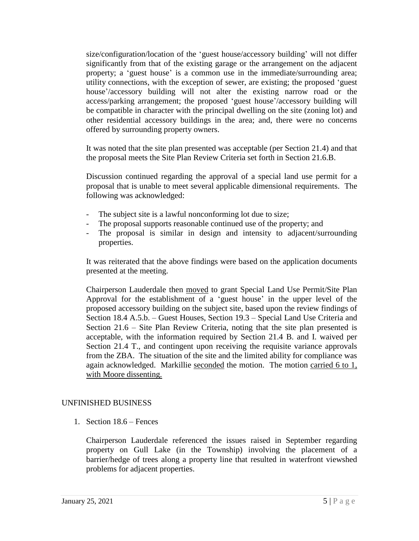size/configuration/location of the 'guest house/accessory building' will not differ significantly from that of the existing garage or the arrangement on the adjacent property; a 'guest house' is a common use in the immediate/surrounding area; utility connections, with the exception of sewer, are existing; the proposed 'guest house'/accessory building will not alter the existing narrow road or the access/parking arrangement; the proposed 'guest house'/accessory building will be compatible in character with the principal dwelling on the site (zoning lot) and other residential accessory buildings in the area; and, there were no concerns offered by surrounding property owners.

It was noted that the site plan presented was acceptable (per Section 21.4) and that the proposal meets the Site Plan Review Criteria set forth in Section 21.6.B.

Discussion continued regarding the approval of a special land use permit for a proposal that is unable to meet several applicable dimensional requirements. The following was acknowledged:

- The subject site is a lawful nonconforming lot due to size;
- The proposal supports reasonable continued use of the property; and
- The proposal is similar in design and intensity to adjacent/surrounding properties.

It was reiterated that the above findings were based on the application documents presented at the meeting.

Chairperson Lauderdale then moved to grant Special Land Use Permit/Site Plan Approval for the establishment of a 'guest house' in the upper level of the proposed accessory building on the subject site, based upon the review findings of Section 18.4 A.5.b. – Guest Houses, Section 19.3 – Special Land Use Criteria and Section 21.6 – Site Plan Review Criteria, noting that the site plan presented is acceptable, with the information required by Section 21.4 B. and I. waived per Section 21.4 T., and contingent upon receiving the requisite variance approvals from the ZBA. The situation of the site and the limited ability for compliance was again acknowledged. Markillie seconded the motion. The motion carried 6 to 1, with Moore dissenting.

# UNFINISHED BUSINESS

1. Section 18.6 – Fences

Chairperson Lauderdale referenced the issues raised in September regarding property on Gull Lake (in the Township) involving the placement of a barrier/hedge of trees along a property line that resulted in waterfront viewshed problems for adjacent properties.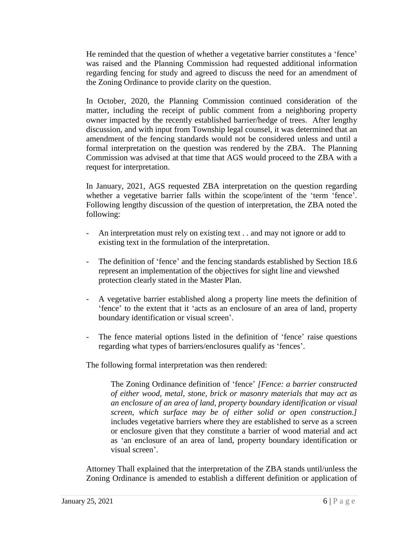He reminded that the question of whether a vegetative barrier constitutes a 'fence' was raised and the Planning Commission had requested additional information regarding fencing for study and agreed to discuss the need for an amendment of the Zoning Ordinance to provide clarity on the question.

In October, 2020, the Planning Commission continued consideration of the matter, including the receipt of public comment from a neighboring property owner impacted by the recently established barrier/hedge of trees. After lengthy discussion, and with input from Township legal counsel, it was determined that an amendment of the fencing standards would not be considered unless and until a formal interpretation on the question was rendered by the ZBA. The Planning Commission was advised at that time that AGS would proceed to the ZBA with a request for interpretation.

In January, 2021, AGS requested ZBA interpretation on the question regarding whether a vegetative barrier falls within the scope/intent of the 'term 'fence'. Following lengthy discussion of the question of interpretation, the ZBA noted the following:

- An interpretation must rely on existing text . . and may not ignore or add to existing text in the formulation of the interpretation.
- The definition of 'fence' and the fencing standards established by Section 18.6 represent an implementation of the objectives for sight line and viewshed protection clearly stated in the Master Plan.
- A vegetative barrier established along a property line meets the definition of 'fence' to the extent that it 'acts as an enclosure of an area of land, property boundary identification or visual screen'.
- The fence material options listed in the definition of 'fence' raise questions regarding what types of barriers/enclosures qualify as 'fences'.

The following formal interpretation was then rendered:

The Zoning Ordinance definition of 'fence' *[Fence: a barrier constructed of either wood, metal, stone, brick or masonry materials that may act as an enclosure of an area of land, property boundary identification or visual screen, which surface may be of either solid or open construction.]* includes vegetative barriers where they are established to serve as a screen or enclosure given that they constitute a barrier of wood material and act as 'an enclosure of an area of land, property boundary identification or visual screen'.

Attorney Thall explained that the interpretation of the ZBA stands until/unless the Zoning Ordinance is amended to establish a different definition or application of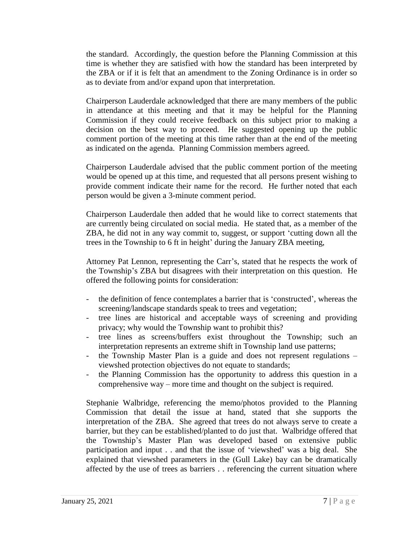the standard. Accordingly, the question before the Planning Commission at this time is whether they are satisfied with how the standard has been interpreted by the ZBA or if it is felt that an amendment to the Zoning Ordinance is in order so as to deviate from and/or expand upon that interpretation.

Chairperson Lauderdale acknowledged that there are many members of the public in attendance at this meeting and that it may be helpful for the Planning Commission if they could receive feedback on this subject prior to making a decision on the best way to proceed. He suggested opening up the public comment portion of the meeting at this time rather than at the end of the meeting as indicated on the agenda. Planning Commission members agreed.

Chairperson Lauderdale advised that the public comment portion of the meeting would be opened up at this time, and requested that all persons present wishing to provide comment indicate their name for the record. He further noted that each person would be given a 3-minute comment period.

Chairperson Lauderdale then added that he would like to correct statements that are currently being circulated on social media. He stated that, as a member of the ZBA, he did not in any way commit to, suggest, or support 'cutting down all the trees in the Township to 6 ft in height' during the January ZBA meeting,

Attorney Pat Lennon, representing the Carr's, stated that he respects the work of the Township's ZBA but disagrees with their interpretation on this question. He offered the following points for consideration:

- the definition of fence contemplates a barrier that is 'constructed', whereas the screening/landscape standards speak to trees and vegetation;
- tree lines are historical and acceptable ways of screening and providing privacy; why would the Township want to prohibit this?
- tree lines as screens/buffers exist throughout the Township; such an interpretation represents an extreme shift in Township land use patterns;
- the Township Master Plan is a guide and does not represent regulations viewshed protection objectives do not equate to standards;
- the Planning Commission has the opportunity to address this question in a comprehensive way – more time and thought on the subject is required.

Stephanie Walbridge, referencing the memo/photos provided to the Planning Commission that detail the issue at hand, stated that she supports the interpretation of the ZBA. She agreed that trees do not always serve to create a barrier, but they can be established/planted to do just that. Walbridge offered that the Township's Master Plan was developed based on extensive public participation and input . . and that the issue of 'viewshed' was a big deal. She explained that viewshed parameters in the (Gull Lake) bay can be dramatically affected by the use of trees as barriers . . referencing the current situation where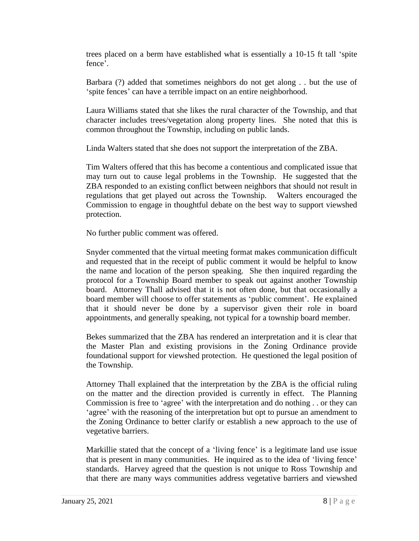trees placed on a berm have established what is essentially a 10-15 ft tall 'spite fence'.

Barbara (?) added that sometimes neighbors do not get along . . but the use of 'spite fences' can have a terrible impact on an entire neighborhood.

Laura Williams stated that she likes the rural character of the Township, and that character includes trees/vegetation along property lines. She noted that this is common throughout the Township, including on public lands.

Linda Walters stated that she does not support the interpretation of the ZBA.

Tim Walters offered that this has become a contentious and complicated issue that may turn out to cause legal problems in the Township. He suggested that the ZBA responded to an existing conflict between neighbors that should not result in regulations that get played out across the Township. Walters encouraged the Commission to engage in thoughtful debate on the best way to support viewshed protection.

No further public comment was offered.

Snyder commented that the virtual meeting format makes communication difficult and requested that in the receipt of public comment it would be helpful to know the name and location of the person speaking. She then inquired regarding the protocol for a Township Board member to speak out against another Township board. Attorney Thall advised that it is not often done, but that occasionally a board member will choose to offer statements as 'public comment'. He explained that it should never be done by a supervisor given their role in board appointments, and generally speaking, not typical for a township board member.

Bekes summarized that the ZBA has rendered an interpretation and it is clear that the Master Plan and existing provisions in the Zoning Ordinance provide foundational support for viewshed protection. He questioned the legal position of the Township.

Attorney Thall explained that the interpretation by the ZBA is the official ruling on the matter and the direction provided is currently in effect. The Planning Commission is free to 'agree' with the interpretation and do nothing . . or they can 'agree' with the reasoning of the interpretation but opt to pursue an amendment to the Zoning Ordinance to better clarify or establish a new approach to the use of vegetative barriers.

Markillie stated that the concept of a 'living fence' is a legitimate land use issue that is present in many communities. He inquired as to the idea of 'living fence' standards. Harvey agreed that the question is not unique to Ross Township and that there are many ways communities address vegetative barriers and viewshed